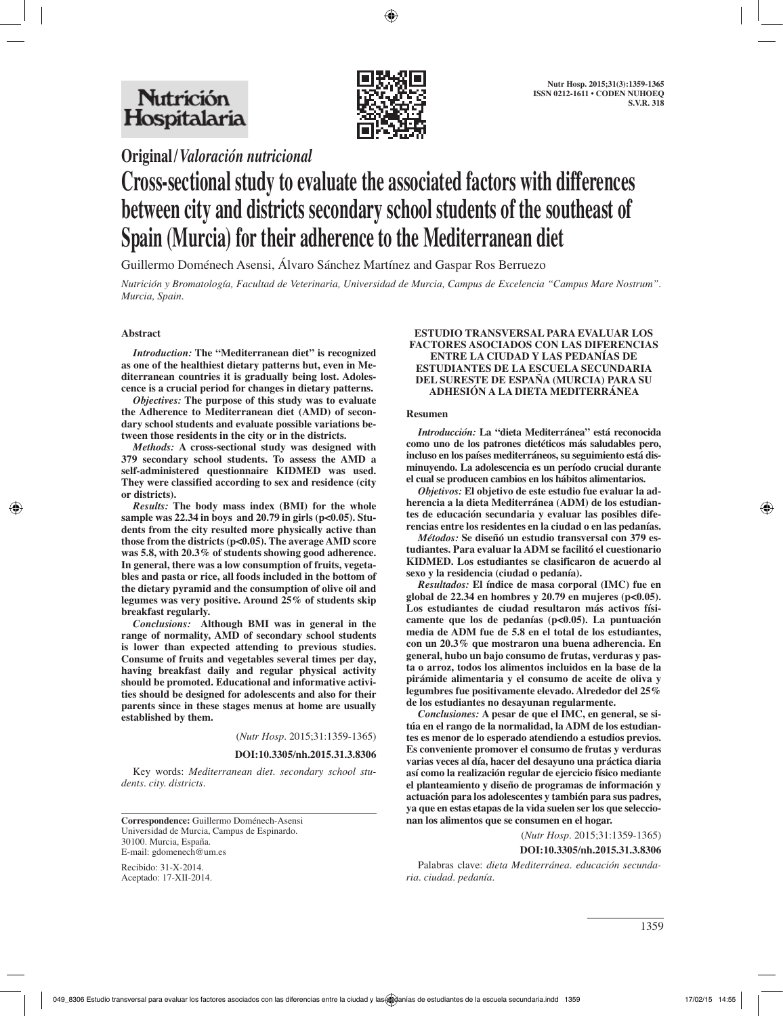

**Original/***Valoración nutricional*

# **Cross-sectional study to evaluate the associated factors with differences between city and districts secondary school students of the southeast of Spain (Murcia) for their adherence to the Mediterranean diet**

Guillermo Doménech Asensi, Álvaro Sánchez Martínez and Gaspar Ros Berruezo

*Nutrición y Bromatología, Facultad de Veterinaria, Universidad de Murcia, Campus de Excelencia "Campus Mare Nostrum". Murcia, Spain.* 

## **Abstract**

*Introduction:* **The "Mediterranean diet" is recognized as one of the healthiest dietary patterns but, even in Mediterranean countries it is gradually being lost. Adolescence is a crucial period for changes in dietary patterns.**

*Objectives:* **The purpose of this study was to evaluate the Adherence to Mediterranean diet (AMD) of secondary school students and evaluate possible variations between those residents in the city or in the districts.**

*Methods:* **A cross-sectional study was designed with 379 secondary school students. To assess the AMD a self-administered questionnaire KIDMED was used. They were classified according to sex and residence (city or districts).**

*Results:* **The body mass index (BMI) for the whole sample was 22.34 in boys and 20.79 in girls (p<0.05). Students from the city resulted more physically active than those from the districts (p<0.05). The average AMD score was 5.8, with 20.3% of students showing good adherence. In general, there was a low consumption of fruits, vegetables and pasta or rice, all foods included in the bottom of the dietary pyramid and the consumption of olive oil and legumes was very positive. Around 25% of students skip breakfast regularly.**

*Conclusions:* **Although BMI was in general in the range of normality, AMD of secondary school students is lower than expected attending to previous studies. Consume of fruits and vegetables several times per day, having breakfast daily and regular physical activity should be promoted. Educational and informative activities should be designed for adolescents and also for their parents since in these stages menus at home are usually established by them.**

(*Nutr Hosp.* 2015;31:1359-1365)

**DOI:10.3305/nh.2015.31.3.8306**

Key words: *Mediterranean diet. secondary school students. city. districts.*

**Correspondence:** Guillermo Doménech-Asensi Universidad de Murcia, Campus de Espinardo. 30100. Murcia, España. E-mail: gdomenech@um.es

Recibido: 31-X-2014. Aceptado: 17-XII-2014.

#### **ESTUDIO TRANSVERSAL PARA EVALUAR LOS FACTORES ASOCIADOS CON LAS DIFERENCIAS ENTRE LA CIUDAD Y LAS PEDANÍAS DE ESTUDIANTES DE LA ESCUELA SECUNDARIA DEL SURESTE DE ESPAÑA (MURCIA) PARA SU ADHESIÓN A LA DIETA MEDITERRÁNEA**

#### **Resumen**

*Introducción:* **La "dieta Mediterránea" está reconocida como uno de los patrones dietéticos más saludables pero, incluso en los países mediterráneos, su seguimiento está disminuyendo. La adolescencia es un período crucial durante el cual se producen cambios en los hábitos alimentarios.**

*Objetivos:* **El objetivo de este estudio fue evaluar la adherencia a la dieta Mediterránea (ADM) de los estudiantes de educación secundaria y evaluar las posibles diferencias entre los residentes en la ciudad o en las pedanías.**

*Métodos:* **Se diseñó un estudio transversal con 379 estudiantes. Para evaluar la ADM se facilitó el cuestionario KIDMED. Los estudiantes se clasificaron de acuerdo al sexo y la residencia (ciudad o pedanía).**

*Resultados:* **El índice de masa corporal (IMC) fue en global de 22.34 en hombres y 20.79 en mujeres (p<0.05). Los estudiantes de ciudad resultaron más activos físicamente que los de pedanías (p<0.05). La puntuación media de ADM fue de 5.8 en el total de los estudiantes, con un 20.3% que mostraron una buena adherencia. En general, hubo un bajo consumo de frutas, verduras y pasta o arroz, todos los alimentos incluidos en la base de la pirámide alimentaria y el consumo de aceite de oliva y legumbres fue positivamente elevado. Alrededor del 25% de los estudiantes no desayunan regularmente.**

*Conclusiones:* **A pesar de que el IMC, en general, se sitúa en el rango de la normalidad, la ADM de los estudiantes es menor de lo esperado atendiendo a estudios previos. Es conveniente promover el consumo de frutas y verduras varias veces al día, hacer del desayuno una práctica diaria así como la realización regular de ejercicio físico mediante el planteamiento y diseño de programas de información y actuación para los adolescentes y también para sus padres, ya que en estas etapas de la vida suelen ser los que seleccionan los alimentos que se consumen en el hogar.**

(*Nutr Hosp.* 2015;31:1359-1365)

**DOI:10.3305/nh.2015.31.3.8306**

Palabras clave: *dieta Mediterránea. educación secundaria. ciudad. pedanía.*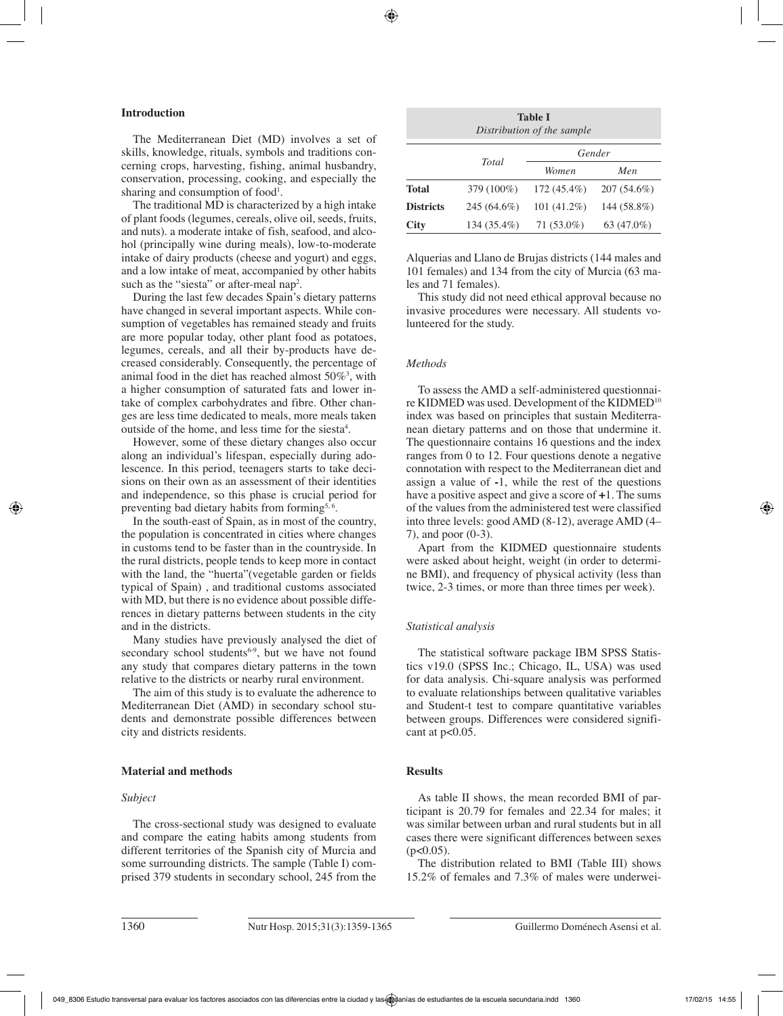#### **Introduction**

The Mediterranean Diet (MD) involves a set of skills, knowledge, rituals, symbols and traditions concerning crops, harvesting, fishing, animal husbandry, conservation, processing, cooking, and especially the sharing and consumption of food<sup>1</sup>.

The traditional MD is characterized by a high intake of plant foods (legumes, cereals, olive oil, seeds, fruits, and nuts). a moderate intake of fish, seafood, and alcohol (principally wine during meals), low-to-moderate intake of dairy products (cheese and yogurt) and eggs, and a low intake of meat, accompanied by other habits such as the "siesta" or after-meal  $nap^2$ .

During the last few decades Spain's dietary patterns have changed in several important aspects. While consumption of vegetables has remained steady and fruits are more popular today, other plant food as potatoes, legumes, cereals, and all their by-products have decreased considerably. Consequently, the percentage of animal food in the diet has reached almost  $50\%$ <sup>3</sup>, with a higher consumption of saturated fats and lower intake of complex carbohydrates and fibre. Other changes are less time dedicated to meals, more meals taken outside of the home, and less time for the siesta<sup>4</sup>.

However, some of these dietary changes also occur along an individual's lifespan, especially during adolescence. In this period, teenagers starts to take decisions on their own as an assessment of their identities and independence, so this phase is crucial period for preventing bad dietary habits from forming<sup>5, 6</sup>.

In the south-east of Spain, as in most of the country, the population is concentrated in cities where changes in customs tend to be faster than in the countryside. In the rural districts, people tends to keep more in contact with the land, the "huerta"(vegetable garden or fields typical of Spain) , and traditional customs associated with MD, but there is no evidence about possible differences in dietary patterns between students in the city and in the districts.

Many studies have previously analysed the diet of secondary school students<sup>6-9</sup>, but we have not found any study that compares dietary patterns in the town relative to the districts or nearby rural environment.

The aim of this study is to evaluate the adherence to Mediterranean Diet (AMD) in secondary school students and demonstrate possible differences between city and districts residents.

## **Material and methods**

## *Subject*

The cross-sectional study was designed to evaluate and compare the eating habits among students from different territories of the Spanish city of Murcia and some surrounding districts. The sample (Table I) comprised 379 students in secondary school, 245 from the

| <b>Table I</b>             |  |
|----------------------------|--|
| Distribution of the sample |  |

|                  |               | Gender        |               |  |  |  |  |
|------------------|---------------|---------------|---------------|--|--|--|--|
|                  | <b>T</b> otal | Women         | Men           |  |  |  |  |
| <b>Total</b>     | 379 (100%)    | $172(45.4\%)$ | $207(54.6\%)$ |  |  |  |  |
| <b>Districts</b> | 245 (64.6%)   | $101(41.2\%)$ | 144 (58.8%)   |  |  |  |  |
| City             | 134 (35.4%)   | $71(53.0\%)$  | 63 (47.0%)    |  |  |  |  |

Alquerias and Llano de Brujas districts (144 males and 101 females) and 134 from the city of Murcia (63 males and 71 females).

This study did not need ethical approval because no invasive procedures were necessary. All students volunteered for the study.

## *Methods*

To assess the AMD a self-administered questionnaire KIDMED was used. Development of the KIDMED10 index was based on principles that sustain Mediterranean dietary patterns and on those that undermine it. The questionnaire contains 16 questions and the index ranges from 0 to 12. Four questions denote a negative connotation with respect to the Mediterranean diet and assign a value of **-**1, while the rest of the questions have a positive aspect and give a score of **+**1. The sums of the values from the administered test were classified into three levels: good AMD (8-12), average AMD (4– 7), and poor (0-3).

Apart from the KIDMED questionnaire students were asked about height, weight (in order to determine BMI), and frequency of physical activity (less than twice, 2-3 times, or more than three times per week).

## *Statistical analysis*

The statistical software package IBM SPSS Statistics v19.0 (SPSS Inc.; Chicago, IL, USA) was used for data analysis. Chi-square analysis was performed to evaluate relationships between qualitative variables and Student-t test to compare quantitative variables between groups. Differences were considered significant at p<0.05.

## **Results**

As table II shows, the mean recorded BMI of participant is 20.79 for females and 22.34 for males; it was similar between urban and rural students but in all cases there were significant differences between sexes  $(n<0.05)$ .

The distribution related to BMI (Table III) shows 15.2% of females and 7.3% of males were underwei-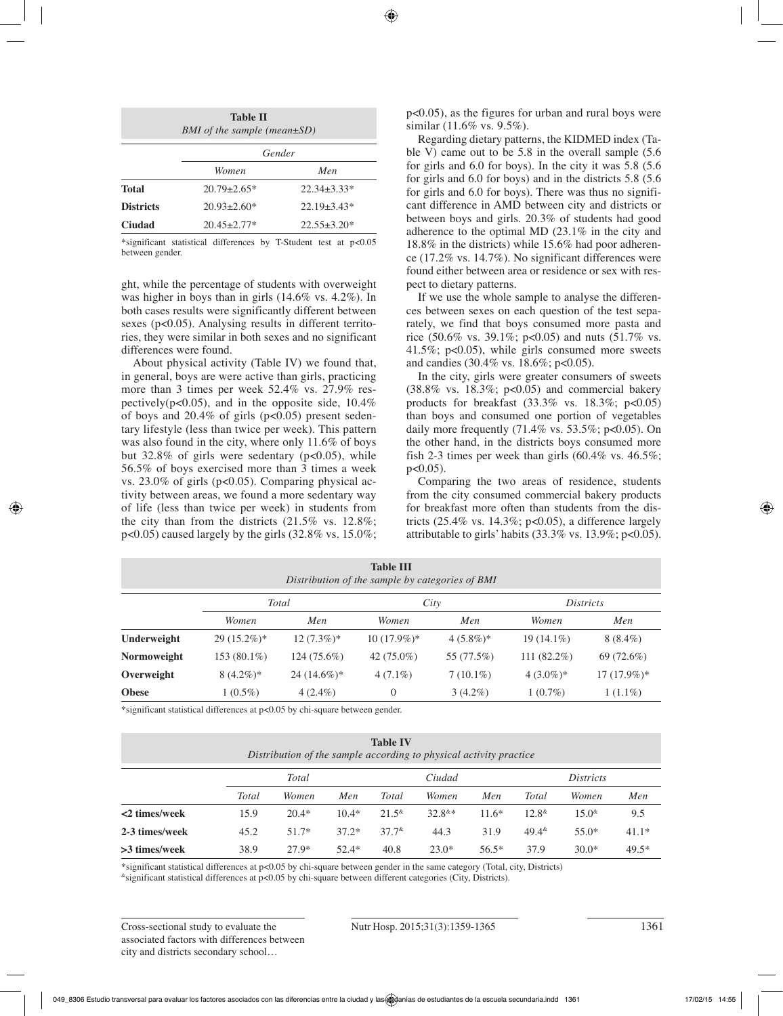| <b>Table II</b><br>BMI of the sample (mean $\pm SD$ ) |                   |                   |  |  |  |  |  |
|-------------------------------------------------------|-------------------|-------------------|--|--|--|--|--|
| Gender                                                |                   |                   |  |  |  |  |  |
|                                                       | Women             | Men               |  |  |  |  |  |
| <b>Total</b>                                          | $20.79 \pm 2.65*$ | $22.34 + 3.33*$   |  |  |  |  |  |
| <b>Districts</b>                                      | $20.93 \pm 2.60*$ | $22.19 \pm 3.43*$ |  |  |  |  |  |
| <b>Ciudad</b>                                         | $20.45 \pm 2.77*$ | $22.55 \pm 3.20*$ |  |  |  |  |  |

\*significant statistical differences by T-Student test at p<0.05 between gender.

ght, while the percentage of students with overweight was higher in boys than in girls (14.6% vs. 4.2%). In both cases results were significantly different between sexes (p<0.05). Analysing results in different territories, they were similar in both sexes and no significant differences were found.

About physical activity (Table IV) we found that, in general, boys are were active than girls, practicing more than 3 times per week 52.4% vs. 27.9% respectively( $p<0.05$ ), and in the opposite side,  $10.4\%$ of boys and  $20.4\%$  of girls ( $p<0.05$ ) present sedentary lifestyle (less than twice per week). This pattern was also found in the city, where only 11.6% of boys but  $32.8\%$  of girls were sedentary ( $p<0.05$ ), while 56.5% of boys exercised more than 3 times a week vs.  $23.0\%$  of girls (p<0.05). Comparing physical activity between areas, we found a more sedentary way of life (less than twice per week) in students from the city than from the districts (21.5% vs. 12.8%;  $p<0.05$ ) caused largely by the girls (32.8% vs. 15.0%; p<0.05), as the figures for urban and rural boys were similar (11.6% vs. 9.5%).

Regarding dietary patterns, the KIDMED index (Table V) came out to be 5.8 in the overall sample (5.6 for girls and 6.0 for boys). In the city it was 5.8 (5.6 for girls and 6.0 for boys) and in the districts 5.8 (5.6 for girls and 6.0 for boys). There was thus no significant difference in AMD between city and districts or between boys and girls. 20.3% of students had good adherence to the optimal MD (23.1% in the city and 18.8% in the districts) while 15.6% had poor adherence (17.2% vs. 14.7%). No significant differences were found either between area or residence or sex with respect to dietary patterns.

If we use the whole sample to analyse the differences between sexes on each question of the test separately, we find that boys consumed more pasta and rice (50.6% vs. 39.1%; p<0.05) and nuts (51.7% vs. 41.5%; p<0.05), while girls consumed more sweets and candies (30.4% vs. 18.6%; p<0.05).

In the city, girls were greater consumers of sweets  $(38.8\% \text{ vs. } 18.3\%; \text{ p<0.05})$  and commercial bakery products for breakfast  $(33.3\% \text{ vs. } 18.3\%; \text{ p} < 0.05)$ than boys and consumed one portion of vegetables daily more frequently  $(71.4\% \text{ vs. } 53.5\%; \text{ p<0.05}).$  On the other hand, in the districts boys consumed more fish 2-3 times per week than girls  $(60.4\% \text{ vs. } 46.5\%);$  $p < 0.05$ ).

Comparing the two areas of residence, students from the city consumed commercial bakery products for breakfast more often than students from the districts  $(25.4\% \text{ vs. } 14.3\% \text{ : } \text{p} < 0.05)$ , a difference largely attributable to girls' habits  $(33.3\% \text{ vs. } 13.9\%; \text{ p} < 0.05)$ .

| <b>Table III</b><br>Distribution of the sample by categories of BMI |               |               |               |             |                |               |  |  |
|---------------------------------------------------------------------|---------------|---------------|---------------|-------------|----------------|---------------|--|--|
| Total<br>City<br><i>Districts</i>                                   |               |               |               |             |                |               |  |  |
|                                                                     | Women         | Men           | Women         | Men         | Women          | Men           |  |  |
| Underweight                                                         | $29(15.2\%)*$ | $12(7.3\%)*$  | $10(17.9\%)*$ | $4(5.8\%)*$ | $19(14.1\%)$   | $8(8.4\%)$    |  |  |
| Normoweight                                                         | 153 (80.1%)   | 124 (75.6%)   | 42 $(75.0\%)$ | 55 (77.5%)  | 111 $(82.2\%)$ | 69 (72.6%)    |  |  |
| Overweight                                                          | $8(4.2\%)*$   | $24(14.6\%)*$ | $4(7.1\%)$    | $7(10.1\%)$ | $4(3.0\%)*$    | $17(17.9\%)*$ |  |  |
| <b>Obese</b>                                                        | $1(0.5\%)$    | $4(2.4\%)$    | $\theta$      | $3(4.2\%)$  | $1(0.7\%)$     | $1(1.1\%)$    |  |  |

\*significant statistical differences at p<0.05 by chi-square between gender.

|       | <b>Table IV</b>                                                    |           |
|-------|--------------------------------------------------------------------|-----------|
|       | Distribution of the sample according to physical activity practice |           |
| Total | Ciudad                                                             | Districts |
|       |                                                                    |           |

|                     | Total | Women   | Men     | Total       | Women                    | Men     | Total       | Women       | Men     |
|---------------------|-------|---------|---------|-------------|--------------------------|---------|-------------|-------------|---------|
| $\leq$ 2 times/week | 15.9  | $20.4*$ | $10.4*$ | $21.5^{\&}$ | $32.8$ <sup>&amp;*</sup> | $11.6*$ | $12.8^{k}$  | 15 $0^{\&}$ | 9.5     |
| 2-3 times/week      | 45.2  | 51.7*   | $37.2*$ | $37.7^{\&}$ | 44.3                     | 31.9    | $49.4^{\&}$ | $55.0*$     | $41.1*$ |
| >3 times/week       | 38.9  | $27.9*$ | $52.4*$ | 40.8        | $23.0*$                  | $56.5*$ | 37.9        | $30.0*$     | $49.5*$ |

\*significant statistical differences at p<0.05 by chi-square between gender in the same category (Total, city, Districts)

&significant statistical differences at p<0.05 by chi-square between different categories (City, Districts).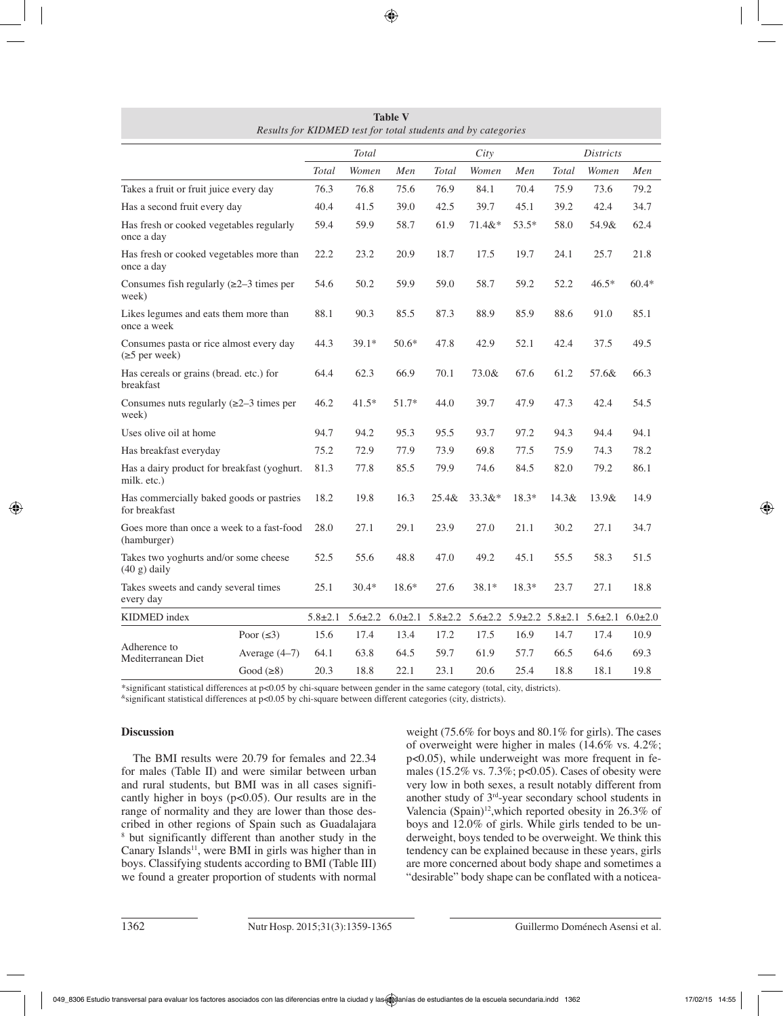|                                                                | Results for KIDMED test for total statems and by categories |               |               |         |                                                                                     |          |                  |              |         |         |
|----------------------------------------------------------------|-------------------------------------------------------------|---------------|---------------|---------|-------------------------------------------------------------------------------------|----------|------------------|--------------|---------|---------|
|                                                                |                                                             | Total         |               | City    |                                                                                     |          | <i>Districts</i> |              |         |         |
|                                                                |                                                             | Total         | Women         | Men     | <b>Total</b>                                                                        | Women    | Men              | <b>Total</b> | Women   | Men     |
| Takes a fruit or fruit juice every day                         |                                                             | 76.3          | 76.8          | 75.6    | 76.9                                                                                | 84.1     | 70.4             | 75.9         | 73.6    | 79.2    |
| Has a second fruit every day                                   |                                                             | 40.4          | 41.5          | 39.0    | 42.5                                                                                | 39.7     | 45.1             | 39.2         | 42.4    | 34.7    |
| Has fresh or cooked vegetables regularly<br>once a day         |                                                             | 59.4          | 59.9          | 58.7    | 61.9                                                                                | $71.4&*$ | $53.5*$          | 58.0         | 54.9&   | 62.4    |
| Has fresh or cooked vegetables more than<br>once a day         |                                                             | 22.2          | 23.2          | 20.9    | 18.7                                                                                | 17.5     | 19.7             | 24.1         | 25.7    | 21.8    |
| Consumes fish regularly $(\geq 2-3$ times per<br>week)         |                                                             | 54.6          | 50.2          | 59.9    | 59.0                                                                                | 58.7     | 59.2             | 52.2         | $46.5*$ | $60.4*$ |
| Likes legumes and eats them more than<br>once a week           |                                                             | 88.1          | 90.3          | 85.5    | 87.3                                                                                | 88.9     | 85.9             | 88.6         | 91.0    | 85.1    |
| Consumes pasta or rice almost every day<br>$(\geq 5$ per week) |                                                             | 44.3          | $39.1*$       | $50.6*$ | 47.8                                                                                | 42.9     | 52.1             | 42.4         | 37.5    | 49.5    |
| Has cereals or grains (bread. etc.) for<br>breakfast           |                                                             | 64.4          | 62.3          | 66.9    | 70.1                                                                                | 73.0&    | 67.6             | 61.2         | 57.6&   | 66.3    |
| Consumes nuts regularly $(\geq 2-3)$ times per<br>week)        |                                                             | 46.2          | $41.5*$       | 51.7*   | 44.0                                                                                | 39.7     | 47.9             | 47.3         | 42.4    | 54.5    |
| Uses olive oil at home                                         |                                                             | 94.7          | 94.2          | 95.3    | 95.5                                                                                | 93.7     | 97.2             | 94.3         | 94.4    | 94.1    |
| Has breakfast everyday                                         |                                                             | 75.2          | 72.9          | 77.9    | 73.9                                                                                | 69.8     | 77.5             | 75.9         | 74.3    | 78.2    |
| Has a dairy product for breakfast (yoghurt.<br>milk. etc.)     |                                                             | 81.3          | 77.8          | 85.5    | 79.9                                                                                | 74.6     | 84.5             | 82.0         | 79.2    | 86.1    |
| Has commercially baked goods or pastries<br>for breakfast      |                                                             | 18.2          | 19.8          | 16.3    | 25.4&                                                                               | $33.3&*$ | 18.3*            | 14.3&        | 13.9&   | 14.9    |
| Goes more than once a week to a fast-food<br>(hamburger)       |                                                             | 28.0          | 27.1          | 29.1    | 23.9                                                                                | 27.0     | 21.1             | 30.2         | 27.1    | 34.7    |
| Takes two yoghurts and/or some cheese<br>$(40 g)$ daily        |                                                             | 52.5          | 55.6          | 48.8    | 47.0                                                                                | 49.2     | 45.1             | 55.5         | 58.3    | 51.5    |
| Takes sweets and candy several times<br>every day              |                                                             | 25.1          | $30.4*$       | $18.6*$ | 27.6                                                                                | $38.1*$  | $18.3*$          | 23.7         | 27.1    | 18.8    |
| KIDMED index                                                   |                                                             | $5.8 \pm 2.1$ | $5.6 \pm 2.2$ |         | $6.0\pm2.1$ $5.8\pm2.2$ $5.6\pm2.2$ $5.9\pm2.2$ $5.8\pm2.1$ $5.6\pm2.1$ $6.0\pm2.0$ |          |                  |              |         |         |
|                                                                | Poor $(\leq 3)$                                             | 15.6          | 17.4          | 13.4    | 17.2                                                                                | 17.5     | 16.9             | 14.7         | 17.4    | 10.9    |
| Adherence to<br>Mediterranean Diet                             | Average $(4-7)$                                             | 64.1          | 63.8          | 64.5    | 59.7                                                                                | 61.9     | 57.7             | 66.5         | 64.6    | 69.3    |
|                                                                | Good $(\geq 8)$                                             | 20.3          | 18.8          | 22.1    | 23.1                                                                                | 20.6     | 25.4             | 18.8         | 18.1    | 19.8    |

**Table V**  *Results for KIDMED test for total students and by categories*

\*significant statistical differences at p<0.05 by chi-square between gender in the same category (total, city, districts).

&significant statistical differences at p<0.05 by chi-square between different categories (city, districts).

## **Discussion**

The BMI results were 20.79 for females and 22.34 for males (Table II) and were similar between urban and rural students, but BMI was in all cases significantly higher in boys ( $p<0.05$ ). Our results are in the range of normality and they are lower than those described in other regions of Spain such as Guadalajara 8 but significantly different than another study in the Canary Islands<sup>11</sup>, were BMI in girls was higher than in boys. Classifying students according to BMI (Table III) we found a greater proportion of students with normal

weight (75.6% for boys and 80.1% for girls). The cases of overweight were higher in males (14.6% vs. 4.2%; p<0.05), while underweight was more frequent in females (15.2% vs. 7.3%; p<0.05). Cases of obesity were very low in both sexes, a result notably different from another study of  $3<sup>rd</sup>$ -year secondary school students in Valencia (Spain)<sup>12</sup>, which reported obesity in 26.3% of boys and 12.0% of girls. While girls tended to be underweight, boys tended to be overweight. We think this tendency can be explained because in these years, girls are more concerned about body shape and sometimes a "desirable" body shape can be conflated with a noticea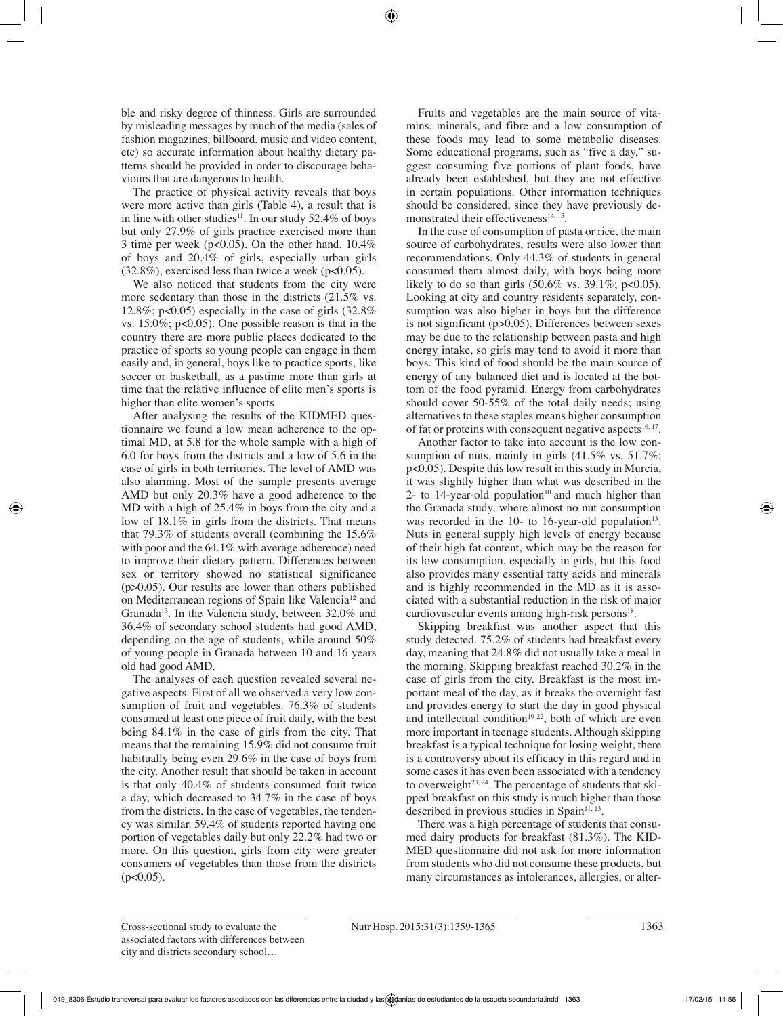ble and risky degree of thinness. Girls are surrounded by misleading messages by much of the media (sales of fashion magazines, billboard, music and video content, etc) so accurate information about healthy dietary patterns should be provided in order to discourage behaviours that are dangerous to health.

The practice of physical activity reveals that boys were more active than girls (Table 4), a result that is in line with other studies<sup>11</sup>. In our study 52.4% of boys but only 27.9% of girls practice exercised more than 3 time per week ( $p<0.05$ ). On the other hand,  $10.4\%$ of boys and 20.4% of girls, especially urban girls  $(32.8\%)$ , exercised less than twice a week (p<0.05).

We also noticed that students from the city were more sedentary than those in the districts (21.5% vs. 12.8%;  $p<0.05$ ) especially in the case of girls  $(32.8\%)$ vs.  $15.0\%$ ; p<0.05). One possible reason is that in the country there are more public places dedicated to the practice of sports so young people can engage in them easily and, in general, boys like to practice sports, like soccer or basketball, as a pastime more than girls at time that the relative influence of elite men's sports is higher than elite women's sports

After analysing the results of the KIDMED questionnaire we found a low mean adherence to the optimal MD, at 5.8 for the whole sample with a high of 6.0 for boys from the districts and a low of 5.6 in the case of girls in both territories. The level of AMD was also alarming. Most of the sample presents average AMD but only 20.3% have a good adherence to the MD with a high of 25.4% in boys from the city and a low of 18.1% in girls from the districts. That means that 79.3% of students overall (combining the 15.6% with poor and the 64.1% with average adherence) need to improve their dietary pattern. Differences between sex or territory showed no statistical significance (p>0.05). Our results are lower than others published on Mediterranean regions of Spain like Valencia<sup>12</sup> and Granada13. In the Valencia study, between 32.0% and 36.4% of secondary school students had good AMD, depending on the age of students, while around 50% of young people in Granada between 10 and 16 years old had good AMD.

The analyses of each question revealed several negative aspects. First of all we observed a very low consumption of fruit and vegetables. 76.3% of students consumed at least one piece of fruit daily, with the best being 84.1% in the case of girls from the city. That means that the remaining 15.9% did not consume fruit habitually being even 29.6% in the case of boys from the city. Another result that should be taken in account is that only 40.4% of students consumed fruit twice a day, which decreased to 34.7% in the case of boys from the districts. In the case of vegetables, the tendency was similar. 59.4% of students reported having one portion of vegetables daily but only 22.2% had two or more. On this question, girls from city were greater consumers of vegetables than those from the districts  $(p<0.05)$ .

Fruits and vegetables are the main source of vitamins, minerals, and fibre and a low consumption of these foods may lead to some metabolic diseases. Some educational programs, such as "five a day," suggest consuming five portions of plant foods, have already been established, but they are not effective in certain populations. Other information techniques should be considered, since they have previously demonstrated their effectiveness<sup>14, 15</sup>.

In the case of consumption of pasta or rice, the main source of carbohydrates, results were also lower than recommendations. Only 44.3% of students in general consumed them almost daily, with boys being more likely to do so than girls  $(50.6\% \text{ vs. } 39.1\%; \text{ p} < 0.05)$ . Looking at city and country residents separately, consumption was also higher in boys but the difference is not significant (p>0.05). Differences between sexes may be due to the relationship between pasta and high energy intake, so girls may tend to avoid it more than boys. This kind of food should be the main source of energy of any balanced diet and is located at the bottom of the food pyramid. Energy from carbohydrates should cover 50-55% of the total daily needs; using alternatives to these staples means higher consumption of fat or proteins with consequent negative aspects<sup>16, 17</sup>.

Another factor to take into account is the low consumption of nuts, mainly in girls  $(41.5\% \text{ vs. } 51.7\%);$ p<0.05). Despite this low result in this study in Murcia, it was slightly higher than what was described in the 2- to 14-year-old population<sup>10</sup> and much higher than the Granada study, where almost no nut consumption was recorded in the 10- to 16-year-old population<sup>13</sup>. Nuts in general supply high levels of energy because of their high fat content, which may be the reason for its low consumption, especially in girls, but this food also provides many essential fatty acids and minerals and is highly recommended in the MD as it is associated with a substantial reduction in the risk of major cardiovascular events among high-risk persons $18$ .

Skipping breakfast was another aspect that this study detected. 75.2% of students had breakfast every day, meaning that 24.8% did not usually take a meal in the morning. Skipping breakfast reached 30.2% in the case of girls from the city. Breakfast is the most important meal of the day, as it breaks the overnight fast and provides energy to start the day in good physical and intellectual condition $19-22$ , both of which are even more important in teenage students. Although skipping breakfast is a typical technique for losing weight, there is a controversy about its efficacy in this regard and in some cases it has even been associated with a tendency to overweight $2^{3, 24}$ . The percentage of students that skipped breakfast on this study is much higher than those described in previous studies in Spain $11, 13$ .

There was a high percentage of students that consumed dairy products for breakfast (81.3%). The KID-MED questionnaire did not ask for more information from students who did not consume these products, but many circumstances as intolerances, allergies, or alter